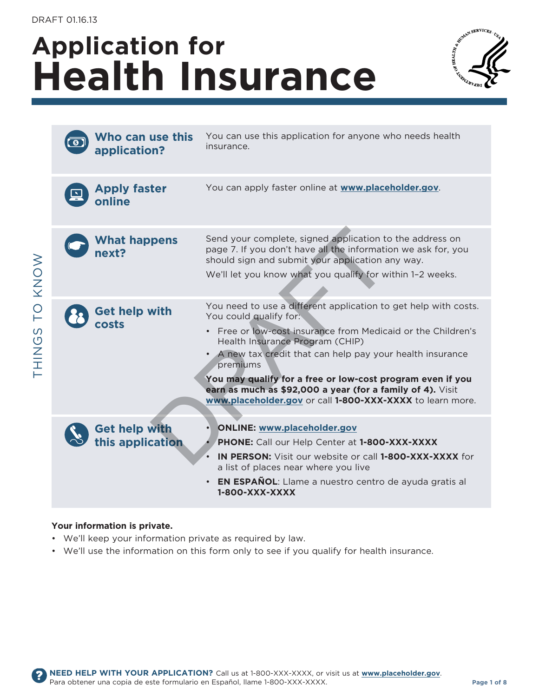# **Application for health insurance**



�

| Who can use this<br>application?         | You can use this application for anyone who needs health<br>insurance.                                                                                                                                                                                                                                                                                                                                                                                                   |
|------------------------------------------|--------------------------------------------------------------------------------------------------------------------------------------------------------------------------------------------------------------------------------------------------------------------------------------------------------------------------------------------------------------------------------------------------------------------------------------------------------------------------|
| <b>Apply faster</b><br>online            | You can apply faster online at www.placeholder.gov.                                                                                                                                                                                                                                                                                                                                                                                                                      |
| <b>What happens</b><br>next?             | Send your complete, signed application to the address on<br>page 7. If you don't have all the information we ask for, you<br>should sign and submit your application any way.<br>We'll let you know what you qualify for within 1-2 weeks.                                                                                                                                                                                                                               |
| <b>Get help with</b><br>rasts            | You need to use a different application to get help with costs.<br>You could qualify for:<br>Free or low-cost insurance from Medicaid or the Children's<br>$\bullet$<br>Health Insurance Program (CHIP)<br>A new tax credit that can help pay your health insurance<br>premiums<br>You may qualify for a free or low-cost program even if you<br>earn as much as \$92,000 a year (for a family of 4). Visit<br>www.placeholder.gov or call 1-800-XXX-XXXX to learn more. |
| <b>Get help with</b><br>this application | <b>ONLINE: www.placeholder.gov</b><br>PHONE: Call our Help Center at 1-800-XXX-XXXX<br><b>IN PERSON:</b> Visit our website or call 1-800-XXX-XXXX for<br>a list of places near where you live<br>EN ESPAÑOL: Llame a nuestro centro de ayuda gratis al<br>1-800-XXX-XXXX                                                                                                                                                                                                 |

#### **Your information is private.**

- We'll keep your information private as required by law.
- We'll use the information on this form only to see if you qualify for health insurance.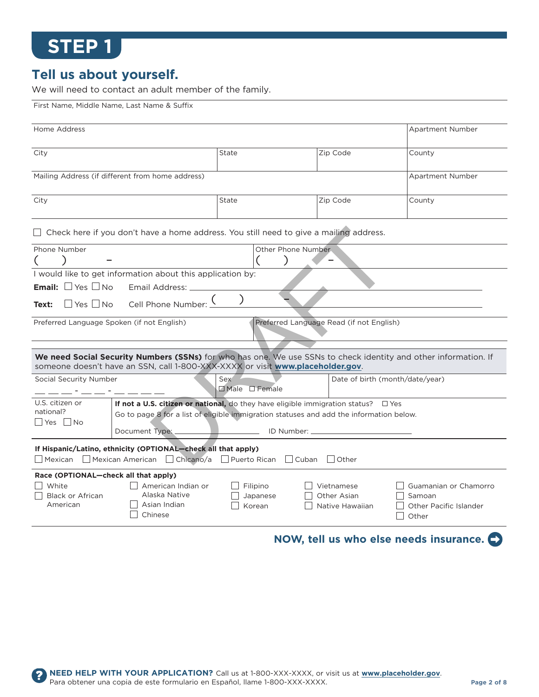#### **Tell us about yourself.**

First Name, Middle Name, Last Name & Suffix

We will need to contact an adult member of the family.

| Home Address                                                      |                                                                                                                                                                                                   |                                     |                                          | Apartment Number                |  |
|-------------------------------------------------------------------|---------------------------------------------------------------------------------------------------------------------------------------------------------------------------------------------------|-------------------------------------|------------------------------------------|---------------------------------|--|
|                                                                   |                                                                                                                                                                                                   |                                     |                                          |                                 |  |
| City                                                              |                                                                                                                                                                                                   | <b>State</b>                        | Zip Code                                 | County                          |  |
|                                                                   | Mailing Address (if different from home address)                                                                                                                                                  |                                     |                                          | Apartment Number                |  |
| City                                                              |                                                                                                                                                                                                   | State                               | Zip Code                                 | County                          |  |
|                                                                   | $\Box$ Check here if you don't have a home address. You still need to give a mailing address.                                                                                                     |                                     |                                          |                                 |  |
| Phone Number                                                      |                                                                                                                                                                                                   | Other Phone Number                  |                                          |                                 |  |
|                                                                   |                                                                                                                                                                                                   |                                     |                                          |                                 |  |
|                                                                   | I would like to get information about this application by:                                                                                                                                        |                                     |                                          |                                 |  |
| <b>Email:</b> $\Box$ Yes $\Box$ No                                | Email Address: __                                                                                                                                                                                 |                                     |                                          |                                 |  |
|                                                                   |                                                                                                                                                                                                   |                                     |                                          |                                 |  |
| Text:                                                             |                                                                                                                                                                                                   |                                     |                                          |                                 |  |
| Preferred Language Spoken (if not English)                        |                                                                                                                                                                                                   |                                     | Preferred Language Read (if not English) |                                 |  |
|                                                                   |                                                                                                                                                                                                   |                                     |                                          |                                 |  |
|                                                                   | We need Social Security Numbers (SSNs) for who has one. We use SSNs to check identity and other information. If<br>someone doesn't have an SSN, call 1-800-XXX-XXXX or visit www.placeholder.gov. |                                     |                                          |                                 |  |
| Social Security Number                                            |                                                                                                                                                                                                   | Sex <sup>1</sup><br>□ Male □ Female | Date of birth (month/date/year)          |                                 |  |
| U.S. citizen or                                                   | If not a U.S. citizen or national, do they have eligible immigration status? $\square$ Yes                                                                                                        |                                     |                                          |                                 |  |
| national?                                                         | Go to page 8 for a list of eligible immigration statuses and add the information below.                                                                                                           |                                     |                                          |                                 |  |
| Yes   No<br>Document Type:<br>____________ ID Number: ___________ |                                                                                                                                                                                                   |                                     |                                          |                                 |  |
|                                                                   | If Hispanic/Latino, ethnicity (OPTIONAL—check all that apply)<br>□ Mexican □ Mexican American □ Chicano/a □ Puerto Rican □ Cuban                                                                  |                                     | Other                                    |                                 |  |
| Race (OPTIONAL-check all that apply)                              |                                                                                                                                                                                                   |                                     |                                          |                                 |  |
| White                                                             | American Indian or                                                                                                                                                                                | Filipino                            | Vietnamese                               | Guamanian or Chamorro           |  |
| Black or African                                                  | Alaska Native                                                                                                                                                                                     | Japanese                            | Other Asian                              | Samoan                          |  |
| American                                                          | Asian Indian<br>Chinese                                                                                                                                                                           | Korean                              | Native Hawaiian                          | Other Pacific Islander<br>Other |  |
|                                                                   |                                                                                                                                                                                                   |                                     |                                          |                                 |  |

#### **nOW, tell us who else needs insurance.**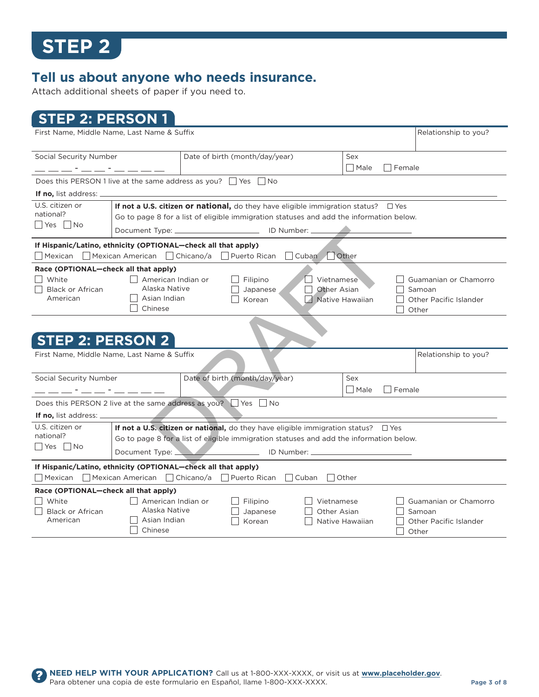$\mathbf{?}$ 

### **Tell us about anyone who needs insurance.**

Attach additional sheets of paper if you need to.

### **sTeP 2: PersOn 1**

| First Name, Middle Name, Last Name & Suffix                                                                              |                                                                |                                                                                                                                                                                       |                                |                                                  |                 |        | Relationship to you?                                               |
|--------------------------------------------------------------------------------------------------------------------------|----------------------------------------------------------------|---------------------------------------------------------------------------------------------------------------------------------------------------------------------------------------|--------------------------------|--------------------------------------------------|-----------------|--------|--------------------------------------------------------------------|
| Social Security Number                                                                                                   |                                                                | Date of birth (month/day/year)                                                                                                                                                        |                                | Sex                                              |                 |        |                                                                    |
| <u> 1999 - Paris III, primeira politik (m. 1958)</u>                                                                     |                                                                |                                                                                                                                                                                       |                                |                                                  | Male            | Female |                                                                    |
| Does this PERSON 1 live at the same address as you? $\Box$ Yes $\Box$ No                                                 |                                                                |                                                                                                                                                                                       |                                |                                                  |                 |        |                                                                    |
| <b>If no,</b> list address: _                                                                                            |                                                                |                                                                                                                                                                                       |                                |                                                  |                 |        |                                                                    |
| U.S. citizen or<br>national?                                                                                             |                                                                | If not a U.S. citizen or national, do they have eligible immigration status? $\square$ Yes<br>Go to page 8 for a list of eligible immigration statuses and add the information below. |                                |                                                  |                 |        |                                                                    |
| Yes   No                                                                                                                 |                                                                | Document Type: ________________________________ ID Number: __                                                                                                                         |                                |                                                  |                 |        |                                                                    |
| If Hispanic/Latino, ethnicity (OPTIONAL-check all that apply)<br>□ Mexican □ Mexican American □ Chicano/a □ Puerto Rican |                                                                |                                                                                                                                                                                       |                                | Cuban Other                                      |                 |        |                                                                    |
| Race (OPTIONAL-check all that apply)                                                                                     |                                                                |                                                                                                                                                                                       |                                |                                                  |                 |        |                                                                    |
| White<br><b>Black or African</b><br>American                                                                             | American Indian or<br>Alaska Native<br>Asian Indian<br>Chinese |                                                                                                                                                                                       | Filipino<br>Japanese<br>Korean | Vietnamese<br>Other Asian<br>    Native Hawaiian |                 |        | Guamanian or Chamorro<br>Samoan<br>Other Pacific Islander<br>Other |
|                                                                                                                          |                                                                |                                                                                                                                                                                       |                                |                                                  |                 |        |                                                                    |
| <b>STEP 2: PERSON 2</b>                                                                                                  |                                                                |                                                                                                                                                                                       |                                |                                                  |                 |        |                                                                    |
| First Name, Middle Name, Last Name & Suffix                                                                              |                                                                |                                                                                                                                                                                       |                                |                                                  |                 |        | Relationship to you?                                               |
| Social Security Number                                                                                                   |                                                                | Date of birth (month/day/year)                                                                                                                                                        |                                | Sex                                              |                 |        |                                                                    |
|                                                                                                                          |                                                                |                                                                                                                                                                                       |                                |                                                  | SMale           | Female |                                                                    |
| Does this PERSON 2 live at the same address as you? $\Box$ Yes $\Box$ No                                                 |                                                                |                                                                                                                                                                                       |                                |                                                  |                 |        |                                                                    |
| <b>If no,</b> list address: _                                                                                            |                                                                |                                                                                                                                                                                       |                                |                                                  |                 |        |                                                                    |
| U.S. citizen or<br>national?                                                                                             |                                                                | If not a U.S. citizen or national, do they have eligible immigration status? $\square$ Yes<br>Go to page 8 for a list of eligible immigration statuses and add the information below. |                                |                                                  |                 |        |                                                                    |
| Yes   No                                                                                                                 | Document Type: _<br>_______________ ID Number: __              |                                                                                                                                                                                       |                                |                                                  |                 |        |                                                                    |
| If Hispanic/Latino, ethnicity (OPTIONAL–check all that apply)                                                            |                                                                |                                                                                                                                                                                       |                                |                                                  |                 |        |                                                                    |
| Mexican                                                                                                                  | $\Box$ Mexican American $\Box$ Chicano/a                       | Puerto Rican                                                                                                                                                                          |                                | Cuban<br>  Other                                 |                 |        |                                                                    |
| Race (OPTIONAL-check all that apply)<br>  White<br><b>Black or African</b><br>American                                   | American Indian or<br>Alaska Native<br>Asian Indian<br>Chinese | $\Box$ Filipino                                                                                                                                                                       | Japanese<br>Korean             | Vietnamese<br>Other Asian                        | Native Hawaiian |        | Guamanian or Chamorro<br>Samoan<br>Other Pacific Islander<br>Other |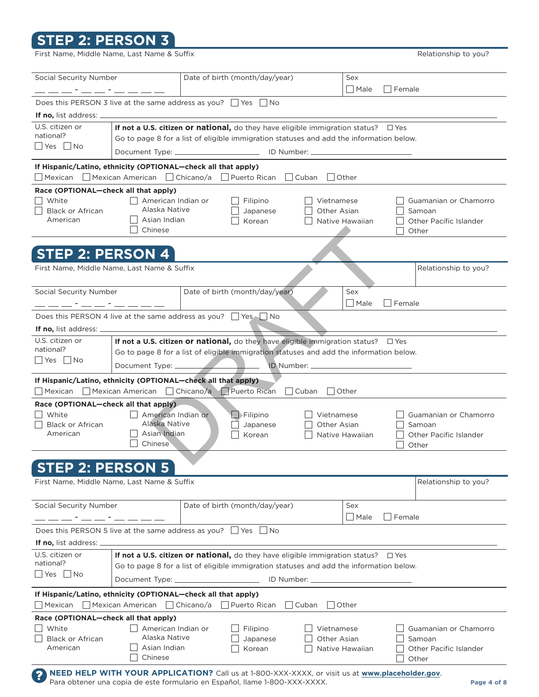### **sTeP 2: PersOn 3**

First Name, Middle Name, Last Name & Suffix **All and Superinations and Superiname Control** Relationship to you?

| Social Security Number                                                       |                                                                                                        | Date of birth (month/day/year) |                                |                    | Sex                      |            |                        |
|------------------------------------------------------------------------------|--------------------------------------------------------------------------------------------------------|--------------------------------|--------------------------------|--------------------|--------------------------|------------|------------------------|
|                                                                              |                                                                                                        |                                |                                |                    | $\square$ Male<br>Female |            |                        |
|                                                                              | Does this PERSON 3 live at the same address as you? $\Box$ Yes $\Box$ No                               |                                |                                |                    |                          |            |                        |
| If no, list address: _                                                       |                                                                                                        |                                |                                |                    |                          |            |                        |
| U.S. citizen or                                                              | If not a U.S. citizen or national, do they have eligible immigration status? $\Box$ Yes                |                                |                                |                    |                          |            |                        |
| national?                                                                    | Go to page 8 for a list of eligible immigration statuses and add the information below.                |                                |                                |                    |                          |            |                        |
| Yes No                                                                       | Document Type: ______________________________ ID Number: ____________                                  |                                |                                |                    |                          |            |                        |
|                                                                              |                                                                                                        |                                |                                |                    |                          |            |                        |
| If Hispanic/Latino, ethnicity (OPTIONAL-check all that apply)<br>    Mexican | □ Mexican American □ Chicano/a □ Puerto Rican                                                          |                                |                                | Cuban<br>    Other |                          |            |                        |
|                                                                              |                                                                                                        |                                |                                |                    |                          |            |                        |
| Race (OPTIONAL-check all that apply)<br>White                                | American Indian or                                                                                     |                                | Filipino                       | Vietnamese         |                          |            | Guamanian or Chamorro  |
| <b>Black or African</b>                                                      | Alaska Native                                                                                          |                                | Japanese                       | Other Asian        |                          |            | Samoan                 |
| American                                                                     | Asian Indian                                                                                           |                                | Korean                         |                    | Native Hawaiian          |            | Other Pacific Islander |
|                                                                              | Chinese                                                                                                |                                |                                |                    |                          |            | Other                  |
|                                                                              |                                                                                                        |                                |                                |                    |                          |            |                        |
| <b>STEP 2: PERSON 4</b>                                                      |                                                                                                        |                                |                                |                    |                          |            |                        |
| First Name, Middle Name, Last Name & Suffix                                  |                                                                                                        |                                |                                |                    |                          |            | Relationship to you?   |
|                                                                              |                                                                                                        |                                |                                |                    |                          |            |                        |
| Social Security Number                                                       |                                                                                                        | Date of birth (month/day/year) |                                |                    | Sex                      |            |                        |
|                                                                              | <u> 2000 - Andrea Andrea III (m. 1876)</u>                                                             |                                |                                |                    | Male                     | Female     |                        |
| Does this PERSON 4 live at the same address as you? Ves No                   |                                                                                                        |                                |                                |                    |                          |            |                        |
|                                                                              |                                                                                                        |                                |                                |                    |                          |            |                        |
| <b>If no,</b> list address: _                                                |                                                                                                        |                                |                                |                    |                          |            |                        |
| U.S. citizen or<br>national?                                                 | If not a U.S. citizen or national, do they have eligible immigration status? $\square$ Yes             |                                |                                |                    |                          |            |                        |
| Yes   No                                                                     | Go to page 8 for a list of eligible immigration statuses and add the information below.                |                                |                                |                    |                          |            |                        |
|                                                                              | Document Type: _______                                                                                 |                                | ID Number: _                   |                    |                          |            |                        |
| If Hispanic/Latino, ethnicity (OPTIONAL-check all that apply)                |                                                                                                        |                                |                                |                    |                          |            |                        |
| Mexican                                                                      | Mexican American   Chicano/a   Puerto Rican                                                            |                                | Cuban                          | $\Box$ Other       |                          |            |                        |
| Race (OPTIONAL-check all that apply)                                         |                                                                                                        |                                |                                |                    |                          |            |                        |
| White                                                                        | American Indian or                                                                                     |                                | $\blacktriangleright$ Filipino | Vietnamese         |                          |            | Guamanian or Chamorro  |
| <b>Black or African</b>                                                      | Alaska Native                                                                                          |                                | Japanese                       | Other Asian        |                          |            | Samoan                 |
| American                                                                     | Asian Indian                                                                                           |                                | Korean                         |                    | Native Hawaiian          |            | Other Pacific Islander |
|                                                                              | Chinese                                                                                                |                                |                                |                    |                          |            | Other                  |
|                                                                              |                                                                                                        |                                |                                |                    |                          |            |                        |
| <b>STEP 2: PERSON 5</b>                                                      |                                                                                                        |                                |                                |                    |                          |            |                        |
| First Name, Middle Name, Last Name & Suffix                                  |                                                                                                        |                                |                                |                    |                          |            | Relationship to you?   |
|                                                                              |                                                                                                        |                                |                                |                    |                          |            |                        |
| Social Security Number                                                       |                                                                                                        | Date of birth (month/day/year) |                                |                    | Sex                      |            |                        |
|                                                                              |                                                                                                        |                                |                                |                    | $\Box$ Male              | Female     |                        |
| Does this PERSON 5 live at the same address as you? $\Box$ Yes $\Box$ No     |                                                                                                        |                                |                                |                    |                          |            |                        |
| <b>If no,</b> list address: _                                                |                                                                                                        |                                |                                |                    |                          |            |                        |
| U.S. citizen or                                                              | If not a U.S. citizen or national, do they have eligible immigration status?                           |                                |                                |                    |                          | $\Box$ Yes |                        |
| national?                                                                    | Go to page 8 for a list of eligible immigration statuses and add the information below.                |                                |                                |                    |                          |            |                        |
| Yes No                                                                       | Document Type: _                                                                                       |                                | ID Number: _                   |                    |                          |            |                        |
|                                                                              |                                                                                                        |                                |                                |                    |                          |            |                        |
| If Hispanic/Latino, ethnicity (OPTIONAL-check all that apply)<br>    Mexican | Mexican American     Chicano/a                                                                         |                                | Puerto Rican                   | Cuban<br>  Other   |                          |            |                        |
|                                                                              |                                                                                                        |                                |                                |                    |                          |            |                        |
| Race (OPTIONAL-check all that apply)<br>White                                | American Indian or                                                                                     |                                | Filipino                       | Vietnamese         |                          |            | Guamanian or Chamorro  |
| <b>Black or African</b>                                                      | Alaska Native                                                                                          |                                | Japanese                       | Other Asian        |                          |            | Samoan                 |
| American                                                                     | Asian Indian                                                                                           |                                | Korean                         |                    | Native Hawaiian          |            | Other Pacific Islander |
|                                                                              | Chinese                                                                                                |                                |                                |                    |                          |            | Other                  |
|                                                                              | <b>NEED HELP WITH YOUR APPLICATION?</b> Call us at 1-800-XXX-XXXX, or visit us at www.placeholder.gov. |                                |                                |                    |                          |            |                        |
| ?                                                                            | Para obtener una copia de este formulario en Español, llame 1-800-XXX-XXXX.                            |                                |                                |                    |                          |            | Page 4 of 8            |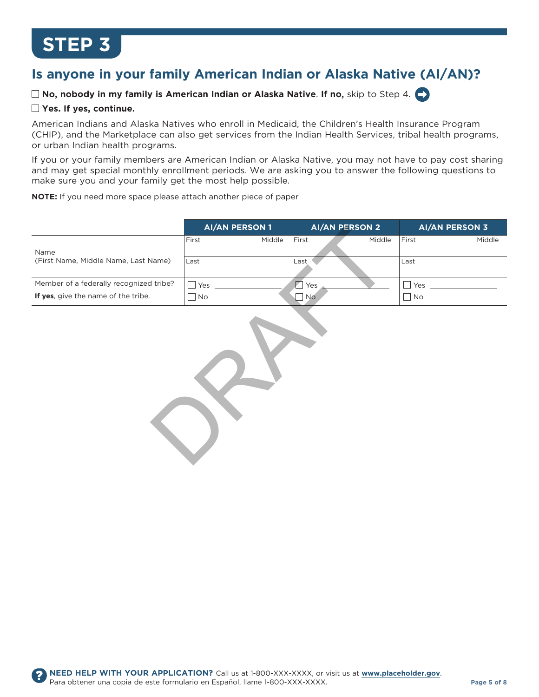### **is anyone in your family American indian or Alaska native (Ai/An)?**

 $\Box$  **No, nobody in my family is American Indian or Alaska Native. If no, skip to Step 4.** 

#### **Yes. if yes, continue.**

American Indians and Alaska Natives who enroll in Medicaid, the Children's Health Insurance Program (CHIP), and the Marketplace can also get services from the Indian Health Services, tribal health programs, or urban Indian health programs.

If you or your family members are American Indian or Alaska Native, you may not have to pay cost sharing and may get special monthly enrollment periods. We are asking you to answer the following questions to make sure you and your family get the most help possible.

**nOTe:** If you need more space please attach another piece of paper

|                                         | <b>AI/AN PERSON 1</b> |        | <b>AI/AN PERSON 2</b> |        | <b>AI/AN PERSON 3</b> |        |
|-----------------------------------------|-----------------------|--------|-----------------------|--------|-----------------------|--------|
|                                         | First                 | Middle | First                 | Middle | First                 | Middle |
| Name                                    |                       |        |                       |        |                       |        |
| (First Name, Middle Name, Last Name)    | Last                  |        | Last                  |        | ∟ast                  |        |
|                                         |                       |        |                       |        |                       |        |
| Member of a federally recognized tribe? | Yes                   |        | Yes                   |        | Yes                   |        |
| If yes, give the name of the tribe.     | <b>No</b>             |        | <b>No</b>             |        | No                    |        |

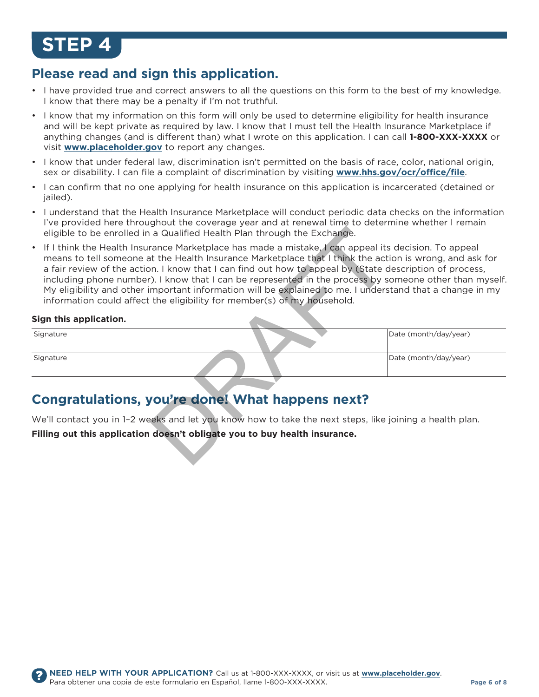#### **Please read and sign this application.**

- I have provided true and correct answers to all the questions on this form to the best of my knowledge. I know that there may be a penalty if I'm not truthful.
- I know that my information on this form will only be used to determine eligibility for health insurance and will be kept private as required by law. I know that I must tell the Health Insurance Marketplace if anything changes (and is different than) what I wrote on this application. I can call **1-800-XXX-XXXX** or visit **www.placeholder.gov** to report any changes.
- I know that under federal law, discrimination isn't permitted on the basis of race, color, national origin, sex or disability. I can file a complaint of discrimination by visiting **www.hhs.gov/ocr/office/file**.
- I can confirm that no one applying for health insurance on this application is incarcerated (detained or jailed).
- • � I understand that the Health Insurance Marketplace will conduct periodic data checks on the information I've provided here throughout the coverage year and at renewal time to determine whether I remain eligible to be enrolled in a Qualified Health Plan through the Exchange.
- If I think the Health Insurance Marketplace has made a mistake, I can appeal its decision. To appeal means to tell someone at the Health Insurance Marketplace that I think the action is wrong, and ask for a fair review of the action. I know that I can find out how to appeal by (State description of process, including phone number). I know that I can be represented in the process by someone other than myself. My eligibility and other important information will be explained to me. I understand that a change in my information could affect the eligibility for member(s) of my household. a Qualified Health Plan through the Exchange.<br>
The Marketplace has made a mistake, I can appeal its<br>
the Health Insurance Marketplace that I think the act<br>
the Health Insurance Marketplace that I think the act<br>
the Health

#### **sign this application.**

| Signature | Date (month/day/year) |
|-----------|-----------------------|
| Signature | Date (month/day/year) |

#### **Congratulations, you're done! What happens next?**

We'll contact you in 1-2 weeks and let you know how to take the next steps, like joining a health plan.

**Filling out this application doesn't obligate you to buy health insurance.**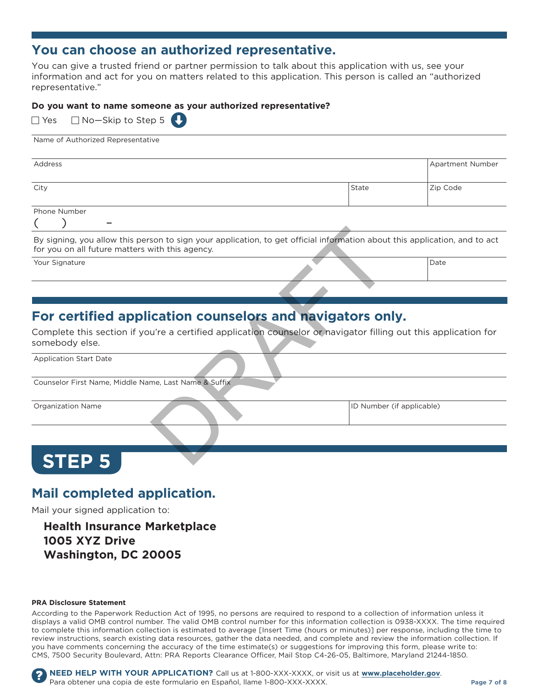#### **You can choose an authorized representative.**

You can give a trusted friend or partner permission to talk about this application with us, see your information and act for you on matters related to this application. this person is called an "authorized representative."

#### **Do you want to name someone as your authorized representative?**

| $\Box$ Yes $\Box$ No-Skip to Step 5 |  |
|-------------------------------------|--|
|                                     |  |

| Name of Authorized Representative |  |  |
|-----------------------------------|--|--|
|                                   |  |  |
|                                   |  |  |
|                                   |  |  |
|                                   |  |  |

| Address                                                                                                         | Apartment Number                                                                                                                                                                                                                                                                                                                                                                                                                                                       |  |
|-----------------------------------------------------------------------------------------------------------------|------------------------------------------------------------------------------------------------------------------------------------------------------------------------------------------------------------------------------------------------------------------------------------------------------------------------------------------------------------------------------------------------------------------------------------------------------------------------|--|
| City                                                                                                            | Zip Code<br>State                                                                                                                                                                                                                                                                                                                                                                                                                                                      |  |
| Phone Number                                                                                                    |                                                                                                                                                                                                                                                                                                                                                                                                                                                                        |  |
| -                                                                                                               |                                                                                                                                                                                                                                                                                                                                                                                                                                                                        |  |
| the contract of the contract of the contract of the contract of the contract of the contract of the contract of | $\mathbf{r}$ , and the contract of the contract of the contract of the contract of the contract of the contract of the contract of the contract of the contract of the contract of the contract of the contract of the contract o<br>$\mathbf{r}$ , and the contract of the contract of the contract of the contract of the contract of the contract of the contract of the contract of the contract of the contract of the contract of the contract of the contract o |  |

By signing, you allow this person to sign your application, to get official information about this application, and to act for you on all future matters with this agency.

Your Signature Date of the United States of the United States of the United States of the United States of the United States of the United States of the United States of the United States of the United States of the United

### **For certified application counselors and navigators only.**

Complete this section if you're a certified application counselor or navigator filling out this application for somebody else. son to sign your application, to get official information about<br>with this agency.<br>Cation counselors and navigators on<br>u're a certified application counselor or havigator filling<br>me, Last Name & Suffix

Application Start Date

Counselor First Name, Middle Name, Last Name & Suffix

Organization Name **ID Number (if applicable)** 

# **sTeP 5**

#### **Mail completed application.**

Mail your signed application to:

#### **health insurance Marketplace 1005 XYZ Drive Washington, DC 20005**

#### **PrA Disclosure statement**

According to the Paperwork Reduction Act of 1995, no persons are required to respond to a collection of information unless it displays a valid oMB control number. the valid oMB control number for this information collection is 0938-XXXX. the time required to complete this information collection is estimated to average [Insert time (hours or minutes)] per response, including the time to review instructions, search existing data resources, gather the data needed, and complete and review the information collection. If you have comments concerning the accuracy of the time estimate(s) or suggestions for improving this form, please write to: CMS, 7500 Security Boulevard, Attn: PRA Reports Clearance officer, Mail Stop C4-26-05, Baltimore, Maryland 21244-1850.

**NEED HELP WITH YOUR APPLICATION?** Call us at 1-800-XXX-XXXX, or visit us at **www.placeholder.gov**. Para obtener una copia de este formulario en Español, llame 1-800-XXX-XXXX. **Page 7 of 8**